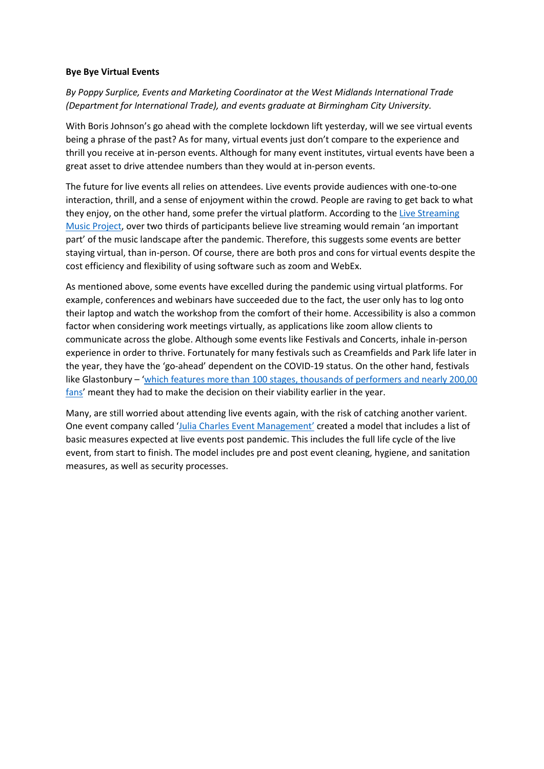## **Bye Bye Virtual Events**

*By Poppy Surplice, Events and Marketing Coordinator at the West Midlands International Trade (Department for International Trade), and events graduate at Birmingham City University.*

With Boris Johnson's go ahead with the complete lockdown lift yesterday, will we see virtual events being a phrase of the past? As for many, virtual events just don't compare to the experience and thrill you receive at in-person events. Although for many event institutes, virtual events have been a great asset to drive attendee numbers than they would at in-person events.

The future for live events all relies on attendees. Live events provide audiences with one-to-one interaction, thrill, and a sense of enjoyment within the crowd. People are raving to get back to what they enjoy, on the other hand, some prefer the virtual platform. According to the [Live Streaming](https://livestreamingmusic.uk/report/)  [Music Project](https://livestreamingmusic.uk/report/), over two thirds of participants believe live streaming would remain 'an important part' of the music landscape after the pandemic. Therefore, this suggests some events are better staying virtual, than in-person. Of course, there are both pros and cons for virtual events despite the cost efficiency and flexibility of using software such as zoom and WebEx.

As mentioned above, some events have excelled during the pandemic using virtual platforms. For example, conferences and webinars have succeeded due to the fact, the user only has to log onto their laptop and watch the workshop from the comfort of their home. Accessibility is also a common factor when considering work meetings virtually, as applications like zoom allow clients to communicate across the globe. Although some events like Festivals and Concerts, inhale in-person experience in order to thrive. Fortunately for many festivals such as Creamfields and Park life later in the year, they have the 'go-ahead' dependent on the COVID-19 status. On the other hand, festivals like Glastonbury – 'which features more than 100 stages, thousands of performers and nearly 200,00 fans' meant they had to make the decision on their viability earlier in the year.

Many, are still worried about attending live events again, with the risk of catching another varient. One event company called ['Julia Charles Event Management'](https://www.juliacharleseventmanagement.co.uk/the-future-of-live-events/) created a model that includes a list of basic measures expected at live events post pandemic. This includes the full life cycle of the live event, from start to finish. The model includes pre and post event cleaning, hygiene, and sanitation measures, as well as security processes.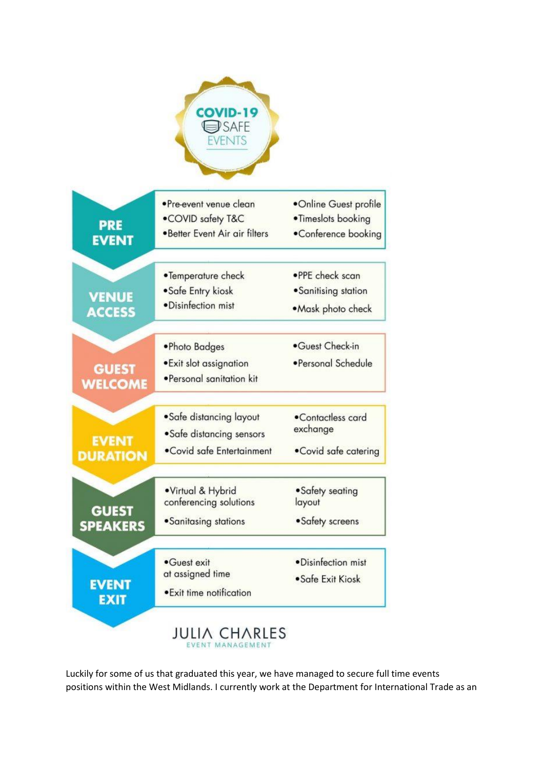

Luckily for some of us that graduated this year, we have managed to secure full time events positions within the West Midlands. I currently work at the Department for International Trade as an